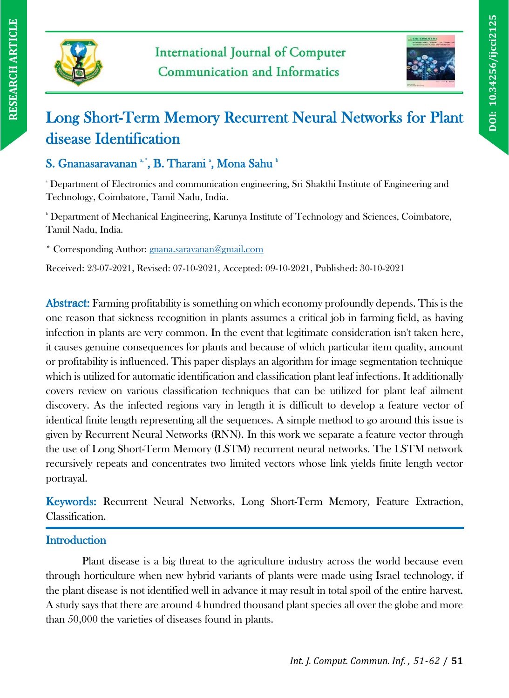



# Long Short-Term Memory Recurrent Neural Networks for Plant disease Identification

# S. Gnanasaravanan \*', B. Tharani \*, Mona Sahu \*

<sup>a</sup> Department of Electronics and communication engineering, Sri Shakthi Institute of Engineering and Technology, Coimbatore, Tamil Nadu, India.

**b Department of Mechanical Engineering, Karunya Institute of Technology and Sciences, Coimbatore,** Tamil Nadu, India.

\* Corresponding Author: [gnana.saravanan@gmail.com](mailto:gnana.saravanan@gmail.com)

Received: 23-07-2021, Revised: 07-10-2021, Accepted: 09-10-2021, Published: 30-10-2021

Abstract: Farming profitability is something on which economy profoundly depends. This is the one reason that sickness recognition in plants assumes a critical job in farming field, as having infection in plants are very common. In the event that legitimate consideration isn't taken here, it causes genuine consequences for plants and because of which particular item quality, amount or profitability is influenced. This paper displays an algorithm for image segmentation technique which is utilized for automatic identification and classification plant leaf infections. It additionally covers review on various classification techniques that can be utilized for plant leaf ailment discovery. As the infected regions vary in length it is difficult to develop a feature vector of identical finite length representing all the sequences. A simple method to go around this issue is given by Recurrent Neural Networks (RNN). In this work we separate a feature vector through the use of Long Short-Term Memory (LSTM) recurrent neural networks. The LSTM network recursively repeats and concentrates two limited vectors whose link yields finite length vector portrayal.

Keywords: Recurrent Neural Networks, Long Short-Term Memory, Feature Extraction, Classification.

# **Introduction**

Plant disease is a big threat to the agriculture industry across the world because even through horticulture when new hybrid variants of plants were made using Israel technology, if the plant disease is not identified well in advance it may result in total spoil of the entire harvest. A study says that there are around 4 hundred thousand plant species all over the globe and more than 50,000 the varieties of diseases found in plants.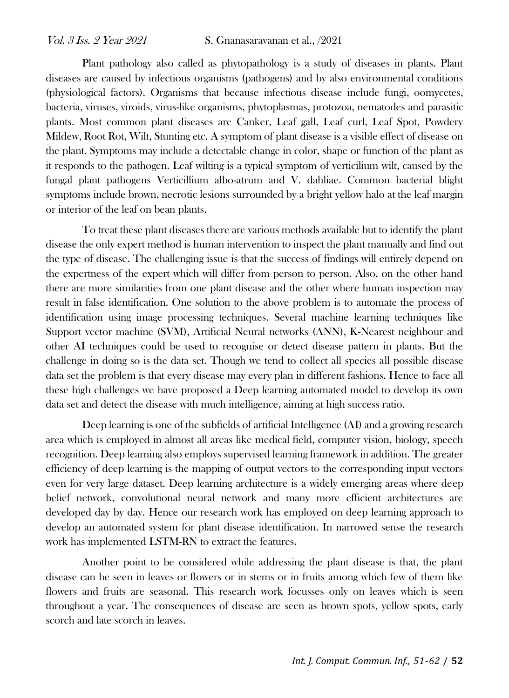Plant pathology also called as phytopathology is a study of diseases in plants. Plant diseases are caused by infectious organisms (pathogens) and by also environmental conditions (physiological factors). Organisms that because infectious disease include fungi, oomycetes, bacteria, viruses, viroids, virus-like organisms, phytoplasmas, protozoa, nematodes and parasitic plants. Most common plant diseases are Canker, Leaf gall, Leaf curl, Leaf Spot, Powdery Mildew, Root Rot, Wilt, Stunting etc. A symptom of plant disease is a visible effect of disease on the plant. Symptoms may include a detectable change in color, shape or function of the plant as it responds to the pathogen. Leaf wilting is a typical symptom of verticilium wilt, caused by the fungal plant pathogens Verticillium albo-atrum and V. dahliae. Common bacterial blight symptoms include brown, necrotic lesions surrounded by a bright yellow halo at the leaf margin or interior of the leaf on bean plants.

To treat these plant diseases there are various methods available but to identify the plant disease the only expert method is human intervention to inspect the plant manually and find out the type of disease. The challenging issue is that the success of findings will entirely depend on the expertness of the expert which will differ from person to person. Also, on the other hand there are more similarities from one plant disease and the other where human inspection may result in false identification. One solution to the above problem is to automate the process of identification using image processing techniques. Several machine learning techniques like Support vector machine (SVM), Artificial Neural networks (ANN), K-Nearest neighbour and other AI techniques could be used to recognise or detect disease pattern in plants. But the challenge in doing so is the data set. Though we tend to collect all species all possible disease data set the problem is that every disease may every plan in different fashions. Hence to face all these high challenges we have proposed a Deep learning automated model to develop its own data set and detect the disease with much intelligence, aiming at high success ratio.

Deep learning is one of the subfields of artificial Intelligence (AI) and a growing research area which is employed in almost all areas like medical field, computer vision, biology, speech recognition. Deep learning also employs supervised learning framework in addition. The greater efficiency of deep learning is the mapping of output vectors to the corresponding input vectors even for very large dataset. Deep learning architecture is a widely emerging areas where deep belief network, convolutional neural network and many more efficient architectures are developed day by day. Hence our research work has employed on deep learning approach to develop an automated system for plant disease identification. In narrowed sense the research work has implemented LSTM-RN to extract the features.

Another point to be considered while addressing the plant disease is that, the plant disease can be seen in leaves or flowers or in stems or in fruits among which few of them like flowers and fruits are seasonal. This research work focusses only on leaves which is seen throughout a year. The consequences of disease are seen as brown spots, yellow spots, early scorch and late scorch in leaves.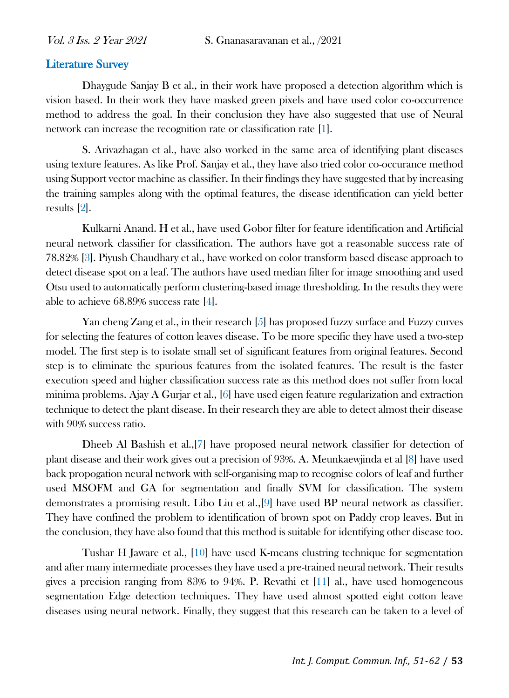#### Literature Survey

Dhaygude Sanjay B et al., in their work have proposed a detection algorithm which is vision based. In their work they have masked green pixels and have used color co-occurrence method to address the goal. In their conclusion they have also suggested that use of Neural network can increase the recognition rate or classification rate [1].

S. Arivazhagan et al., have also worked in the same area of identifying plant diseases using texture features. As like Prof. Sanjay et al., they have also tried color co-occurance method using Support vector machine as classifier. In their findings they have suggested that by increasing the training samples along with the optimal features, the disease identification can yield better results [2].

Kulkarni Anand. H et al., have used Gobor filter for feature identification and Artificial neural network classifier for classification. The authors have got a reasonable success rate of 78.82% [3]. Piyush Chaudhary et al., have worked on color transform based disease approach to detect disease spot on a leaf. The authors have used median filter for image smoothing and used Otsu used to automatically perform clustering-based image thresholding. In the results they were able to achieve 68.89% success rate [4].

Yan cheng Zang et al., in their research [5] has proposed fuzzy surface and Fuzzy curves for selecting the features of cotton leaves disease. To be more specific they have used a two-step model. The first step is to isolate small set of significant features from original features. Second step is to eliminate the spurious features from the isolated features. The result is the faster execution speed and higher classification success rate as this method does not suffer from local minima problems. Ajay A Gurjar et al., [6] have used eigen feature regularization and extraction technique to detect the plant disease. In their research they are able to detect almost their disease with 90% success ratio.

Dheeb Al Bashish et al.,[7] have proposed neural network classifier for detection of plant disease and their work gives out a precision of 93%. A. Meunkaewjinda et al [8] have used back propogation neural network with self-organising map to recognise colors of leaf and further used MSOFM and GA for segmentation and finally SVM for classification. The system demonstrates a promising result. Libo Liu et al.,[9] have used BP neural network as classifier. They have confined the problem to identification of brown spot on Paddy crop leaves. But in the conclusion, they have also found that this method is suitable for identifying other disease too.

Tushar H Jaware et al., [10] have used K-means clustring technique for segmentation and after many intermediate processes they have used a pre-trained neural network. Their results gives a precision ranging from 83% to 94%. P. Revathi et [11] al., have used homogeneous segmentation Edge detection techniques. They have used almost spotted eight cotton leave diseases using neural network. Finally, they suggest that this research can be taken to a level of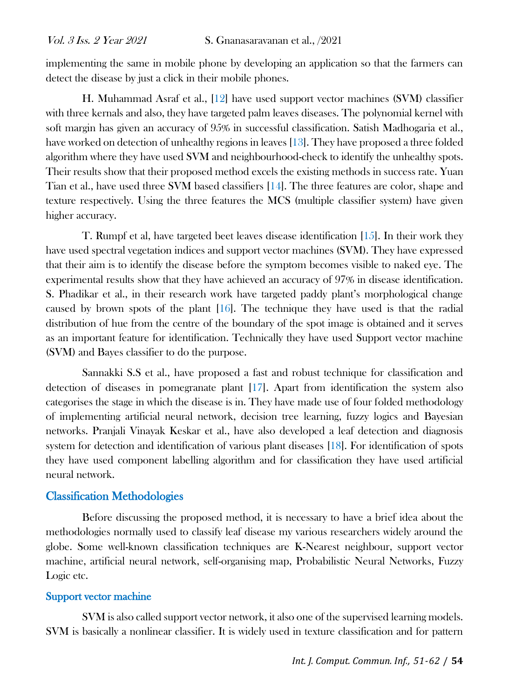implementing the same in mobile phone by developing an application so that the farmers can detect the disease by just a click in their mobile phones.

H. Muhammad Asraf et al., [12] have used support vector machines (SVM) classifier with three kernals and also, they have targeted palm leaves diseases. The polynomial kernel with soft margin has given an accuracy of 95% in successful classification. Satish Madhogaria et al., have worked on detection of unhealthy regions in leaves [13]. They have proposed a three folded algorithm where they have used SVM and neighbourhood-check to identify the unhealthy spots. Their results show that their proposed method excels the existing methods in success rate. Yuan Tian et al., have used three SVM based classifiers [14]. The three features are color, shape and texture respectively. Using the three features the MCS (multiple classifier system) have given higher accuracy.

T. Rumpf et al, have targeted beet leaves disease identification [15]. In their work they have used spectral vegetation indices and support vector machines (SVM). They have expressed that their aim is to identify the disease before the symptom becomes visible to naked eye. The experimental results show that they have achieved an accuracy of 97% in disease identification. S. Phadikar et al., in their research work have targeted paddy plant's morphological change caused by brown spots of the plant [16]. The technique they have used is that the radial distribution of hue from the centre of the boundary of the spot image is obtained and it serves as an important feature for identification. Technically they have used Support vector machine (SVM) and Bayes classifier to do the purpose.

Sannakki S.S et al., have proposed a fast and robust technique for classification and detection of diseases in pomegranate plant [17]. Apart from identification the system also categorises the stage in which the disease is in. They have made use of four folded methodology of implementing artificial neural network, decision tree learning, fuzzy logics and Bayesian networks. Pranjali Vinayak Keskar et al., have also developed a leaf detection and diagnosis system for detection and identification of various plant diseases [18]. For identification of spots they have used component labelling algorithm and for classification they have used artificial neural network.

#### Classification Methodologies

Before discussing the proposed method, it is necessary to have a brief idea about the methodologies normally used to classify leaf disease my various researchers widely around the globe. Some well-known classification techniques are K-Nearest neighbour, support vector machine, artificial neural network, self-organising map, Probabilistic Neural Networks, Fuzzy Logic etc.

#### Support vector machine

SVM is also called support vector network, it also one of the supervised learning models. SVM is basically a nonlinear classifier. It is widely used in texture classification and for pattern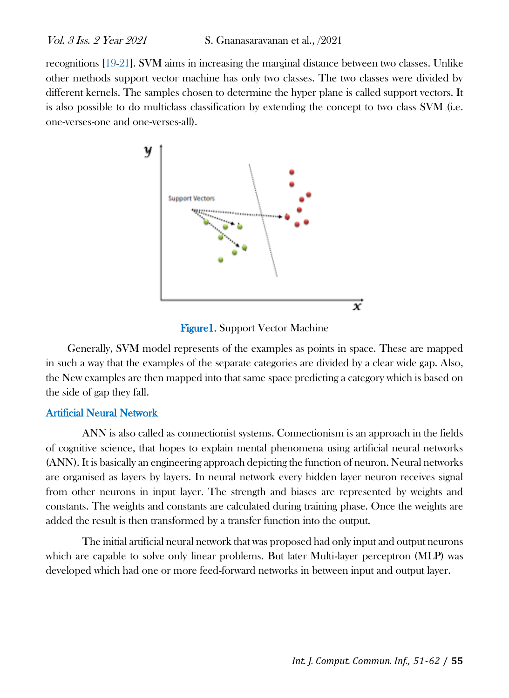recognitions [19-21]. SVM aims in increasing the marginal distance between two classes. Unlike other methods support vector machine has only two classes. The two classes were divided by different kernels. The samples chosen to determine the hyper plane is called support vectors. It is also possible to do multiclass classification by extending the concept to two class SVM (i.e. one-verses-one and one-verses-all).



Figure1. Support Vector Machine

Generally, SVM model represents of the examples as points in space. These are mapped in such a way that the examples of the separate categories are divided by a clear wide gap. Also, the New examples are then mapped into that same space predicting a category which is based on the side of gap they fall.

#### Artificial Neural Network

ANN is also called as connectionist systems. Connectionism is an approach in the fields of cognitive science, that hopes to explain mental phenomena using artificial neural networks (ANN). It is basically an engineering approach depicting the function of neuron. Neural networks are organised as layers by layers. In neural network every hidden layer neuron receives signal from other neurons in input layer. The strength and biases are represented by weights and constants. The weights and constants are calculated during training phase. Once the weights are added the result is then transformed by a transfer function into the output.

The initial artificial neural network that was proposed had only input and output neurons which are capable to solve only linear problems. But later Multi-layer perceptron (MLP) was developed which had one or more feed-forward networks in between input and output layer.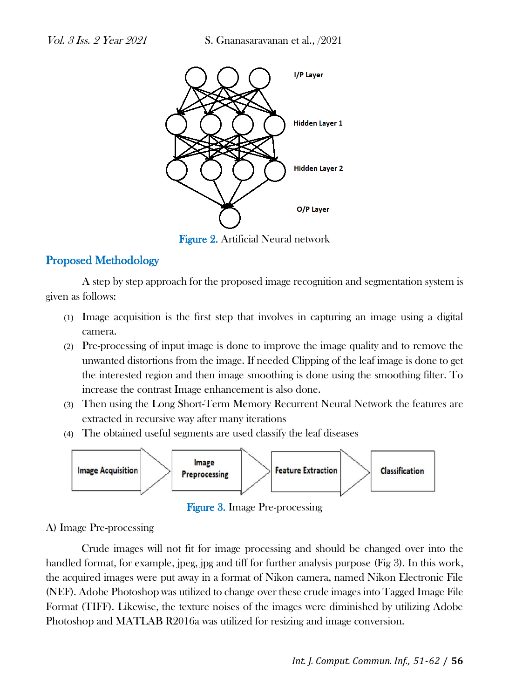

Figure 2. Artificial Neural network

# Proposed Methodology

A step by step approach for the proposed image recognition and segmentation system is given as follows:

- (1) Image acquisition is the first step that involves in capturing an image using a digital camera.
- (2) Pre-processing of input image is done to improve the image quality and to remove the unwanted distortions from the image. If needed Clipping of the leaf image is done to get the interested region and then image smoothing is done using the smoothing filter. To increase the contrast Image enhancement is also done.
- (3) Then using the Long Short-Term Memory Recurrent Neural Network the features are extracted in recursive way after many iterations
- (4) The obtained useful segments are used classify the leaf diseases



Figure 3. Image Pre-processing

## A) Image Pre-processing

Crude images will not fit for image processing and should be changed over into the handled format, for example, jpeg, jpg and tiff for further analysis purpose (Fig 3). In this work, the acquired images were put away in a format of Nikon camera, named Nikon Electronic File (NEF). Adobe Photoshop was utilized to change over these crude images into Tagged Image File Format (TIFF). Likewise, the texture noises of the images were diminished by utilizing Adobe Photoshop and MATLAB R2016a was utilized for resizing and image conversion.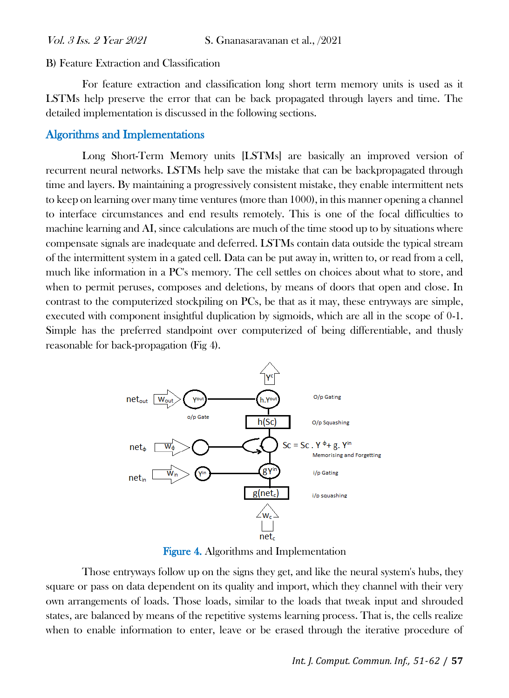B) Feature Extraction and Classification

For feature extraction and classification long short term memory units is used as it LSTMs help preserve the error that can be back propagated through layers and time. The detailed implementation is discussed in the following sections.

## Algorithms and Implementations

Long Short-Term Memory units [LSTMs] are basically an improved version of recurrent neural networks. LSTMs help save the mistake that can be backpropagated through time and layers. By maintaining a progressively consistent mistake, they enable intermittent nets to keep on learning over many time ventures (more than 1000), in this manner opening a channel to interface circumstances and end results remotely. This is one of the focal difficulties to machine learning and AI, since calculations are much of the time stood up to by situations where compensate signals are inadequate and deferred. LSTMs contain data outside the typical stream of the intermittent system in a gated cell. Data can be put away in, written to, or read from a cell, much like information in a PC's memory. The cell settles on choices about what to store, and when to permit peruses, composes and deletions, by means of doors that open and close. In contrast to the computerized stockpiling on PCs, be that as it may, these entryways are simple, executed with component insightful duplication by sigmoids, which are all in the scope of 0-1. Simple has the preferred standpoint over computerized of being differentiable, and thusly reasonable for back-propagation (Fig 4).



Figure 4. Algorithms and Implementation

Those entryways follow up on the signs they get, and like the neural system's hubs, they square or pass on data dependent on its quality and import, which they channel with their very own arrangements of loads. Those loads, similar to the loads that tweak input and shrouded states, are balanced by means of the repetitive systems learning process. That is, the cells realize when to enable information to enter, leave or be erased through the iterative procedure of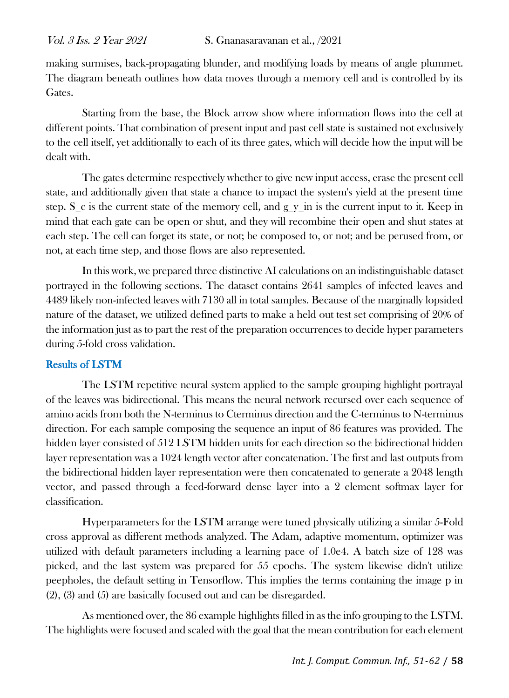making surmises, back-propagating blunder, and modifying loads by means of angle plummet. The diagram beneath outlines how data moves through a memory cell and is controlled by its Gates.

Starting from the base, the Block arrow show where information flows into the cell at different points. That combination of present input and past cell state is sustained not exclusively to the cell itself, yet additionally to each of its three gates, which will decide how the input will be dealt with.

The gates determine respectively whether to give new input access, erase the present cell state, and additionally given that state a chance to impact the system's yield at the present time step. S\_c is the current state of the memory cell, and g\_y\_in is the current input to it. Keep in mind that each gate can be open or shut, and they will recombine their open and shut states at each step. The cell can forget its state, or not; be composed to, or not; and be perused from, or not, at each time step, and those flows are also represented.

In this work, we prepared three distinctive AI calculations on an indistinguishable dataset portrayed in the following sections. The dataset contains 2641 samples of infected leaves and 4489 likely non-infected leaves with 7130 all in total samples. Because of the marginally lopsided nature of the dataset, we utilized defined parts to make a held out test set comprising of 20% of the information just as to part the rest of the preparation occurrences to decide hyper parameters during 5-fold cross validation.

## Results of LSTM

The LSTM repetitive neural system applied to the sample grouping highlight portrayal of the leaves was bidirectional. This means the neural network recursed over each sequence of amino acids from both the N-terminus to Cterminus direction and the C-terminus to N-terminus direction. For each sample composing the sequence an input of 86 features was provided. The hidden layer consisted of 512 LSTM hidden units for each direction so the bidirectional hidden layer representation was a 1024 length vector after concatenation. The first and last outputs from the bidirectional hidden layer representation were then concatenated to generate a 2048 length vector, and passed through a feed-forward dense layer into a 2 element softmax layer for classification.

Hyperparameters for the LSTM arrange were tuned physically utilizing a similar 5-Fold cross approval as different methods analyzed. The Adam, adaptive momentum, optimizer was utilized with default parameters including a learning pace of 1.0e4. A batch size of 128 was picked, and the last system was prepared for 55 epochs. The system likewise didn't utilize peepholes, the default setting in Tensorflow. This implies the terms containing the image p in (2), (3) and (5) are basically focused out and can be disregarded.

As mentioned over, the 86 example highlights filled in as the info grouping to the LSTM. The highlights were focused and scaled with the goal that the mean contribution for each element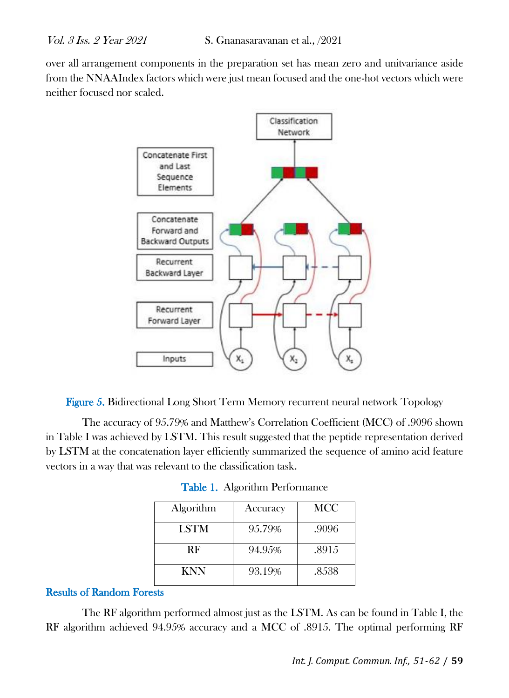over all arrangement components in the preparation set has mean zero and unitvariance aside from the NNAAIndex factors which were just mean focused and the one-hot vectors which were neither focused nor scaled.



Figure 5. Bidirectional Long Short Term Memory recurrent neural network Topology

The accuracy of 95.79% and Matthew's Correlation Coefficient (MCC) of .9096 shown in Table I was achieved by LSTM. This result suggested that the peptide representation derived by LSTM at the concatenation layer efficiently summarized the sequence of amino acid feature vectors in a way that was relevant to the classification task.

| Algorithm   | Accuracy | MCC   |
|-------------|----------|-------|
| <b>LSTM</b> | 95.79%   | .9096 |
| RF          | 94.95%   | .8915 |
| KNN         | 93.19%   | .8538 |

Table 1. Algorithm Performance

#### Results of Random Forests

The RF algorithm performed almost just as the LSTM. As can be found in Table I, the RF algorithm achieved 94.95% accuracy and a MCC of .8915. The optimal performing RF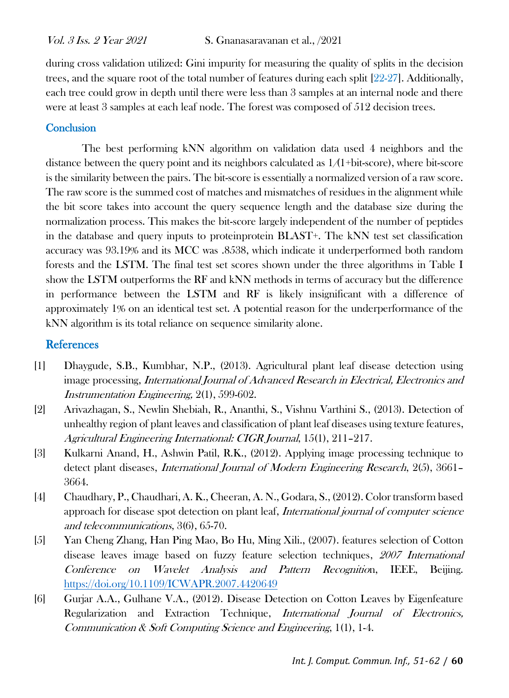during cross validation utilized: Gini impurity for measuring the quality of splits in the decision trees, and the square root of the total number of features during each split [22-27]. Additionally, each tree could grow in depth until there were less than 3 samples at an internal node and there were at least 3 samples at each leaf node. The forest was composed of 512 decision trees.

#### **Conclusion**

The best performing kNN algorithm on validation data used 4 neighbors and the distance between the query point and its neighbors calculated as  $1/(1+bit\text{-}score)$ , where bit-score is the similarity between the pairs. The bit-score is essentially a normalized version of a raw score. The raw score is the summed cost of matches and mismatches of residues in the alignment while the bit score takes into account the query sequence length and the database size during the normalization process. This makes the bit-score largely independent of the number of peptides in the database and query inputs to proteinprotein BLAST+. The kNN test set classification accuracy was 93.19% and its MCC was .8538, which indicate it underperformed both random forests and the LSTM. The final test set scores shown under the three algorithms in Table I show the LSTM outperforms the RF and kNN methods in terms of accuracy but the difference in performance between the LSTM and RF is likely insignificant with a difference of approximately 1% on an identical test set. A potential reason for the underperformance of the kNN algorithm is its total reliance on sequence similarity alone.

## References

- [1] Dhaygude, S.B., Kumbhar, N.P., (2013). Agricultural plant leaf disease detection using image processing, International Journal of Advanced Research in Electrical, Electronics and Instrumentation Engineering, 2(1), 599-602.
- [2] Arivazhagan, S., Newlin Shebiah, R., Ananthi, S., Vishnu Varthini S., (2013). Detection of unhealthy region of plant leaves and classification of plant leaf diseases using texture features, Agricultural Engineering International: CIGR Journal, 15(1), 211–217.
- [3] Kulkarni Anand, H., Ashwin Patil, R.K., (2012). Applying image processing technique to detect plant diseases, International Journal of Modern Engineering Research, 2(5), 3661– 36[64.](http://refhub.elsevier.com/S2214-3173(16)30015-4/h0025)
- [4] Chaudhary, P., Chaudhari, A. K., Cheeran, A. N., Godara, S., (2012). Color transform based approach for disease spot detection on plant leaf, International journal of computer science and telecommunications, 3(6), 65-70.
- [5] Yan Cheng Zhang, Han Ping Mao, Bo Hu, Ming Xili., (2007). features selection of Cotton disease leaves image based on fuzzy feature selection techniques, <sup>2007</sup> International Conference on Wavelet Analysis and Pattern Recognition, IEEE, Beijing. <https://doi.org/10.1109/ICWAPR.2007.4420649>
- [6] Gurjar A.A., Gulhane V.A., (2012). Disease Detection on Cotton Leaves by Eigenfeature Regularization and Extraction Technique, *International Journal of Electronics*, Communication & Soft Computing Science and Engineering, 1(1), 1-4.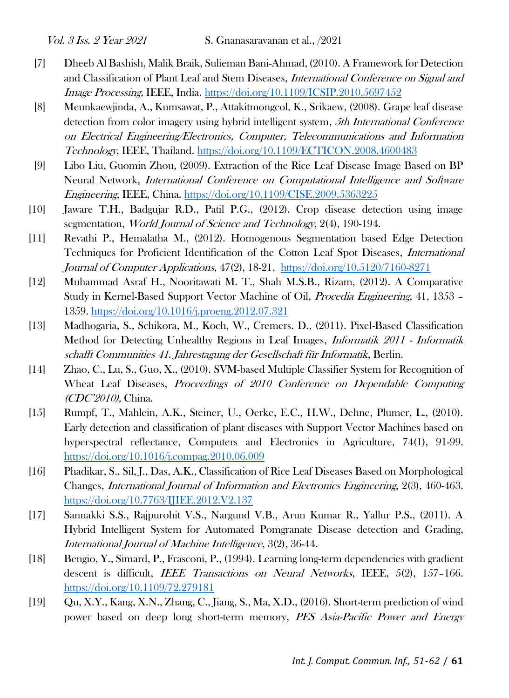- [7] Dheeb Al Bashish, Malik Braik, Sulieman Bani-Ahmad, (2010). A Framework for Detection and Classification of Plant Leaf and Stem Diseases, International Conference on Signal and Image Processing, IEEE, India.<https://doi.org/10.1109/ICSIP.2010.5697452>
- [8] Meunkaewjinda, A., Kumsawat, P., Attakitmongcol, K., Srikaew, (2008). Grape leaf disease detection from color imagery using hybrid intelligent system, 5th International Conference on Electrical Engineering/Electronics, Computer, Telecommunications and Information Technology, IEEE, Thailand.<https://doi.org/10.1109/ECTICON.2008.4600483>
- [9] Libo Liu, Guomin Zhou, (2009). Extraction of the Rice Leaf Disease Image Based on BP Neural Network, International Conference on Computational Intelligence and Software Engineering, IEEE, China.<https://doi.org/10.1109/CISE.2009.5363225>
- [10] Jaware T.H., Badgujar R.D., Patil P.G., (2012). Crop disease detection using image segmentation, *World Journal of Science and Technology*, 2(4), 190-194.
- [11] Revathi P., Hemalatha M., (2012). Homogenous Segmentation based Edge Detection Techniques for Proficient Identification of the Cotton Leaf Spot Diseases, International Journal of Computer Applications, 47(2), 18-21. <https://doi.org/10.5120/7160-8271>
- [12] Muhammad Asraf H., Nooritawati M. T., Shah M.S.B., Rizam, (2012). A Comparative Study in Kernel-Based Support Vector Machine of Oil, Procedia Engineering, 41, 1353 – 1359.<https://doi.org/10.1016/j.proeng.2012.07.321>
- [13] Madhogaria, S., Schikora, M., Koch, W., Cremers. D., (2011). Pixel-Based Classification Method for Detecting Unhealthy Regions in Leaf Images, *Informatik 2011 - Informatik* schafft Communities 41. Jahrestagung der Gesellschaft für Informatik, Berlin.
- [14] Zhao, C., Lu, S., Guo, X., (2010). SVM-based Multiple Classifier System for Recognition of Wheat Leaf Diseases, *Proceedings of 2010 Conference on Dependable Computing* (CDC'2010), China.
- [15] Rumpf, T., Mahlein, A.K., Steiner, U., Oerke, E.C., H.W., Dehne, Plumer, L., (2010). Early detection and classification of plant diseases with Support Vector Machines based on hyperspectral reflectance, Computers and Electronics in Agriculture, 74(1), 91-99. <https://doi.org/10.1016/j.compag.2010.06.009>
- [16] Phadikar, S., Sil, J., Das, A.K., Classification of Rice Leaf Diseases Based on Morphological Changes, International Journal of Information and Electronics Engineering, 2(3), 460-463. <https://doi.org/10.7763/IJIEE.2012.V2.137>
- [17] Sannakki S.S., Rajpurohit V.S., Nargund V.B., Arun Kumar R., Yallur P.S., (2011). A Hybrid Intelligent System for Automated Pomgranate Disease detection and Grading, International Journal of Machine Intelligence, 3(2), 36-44.
- [18] Bengio, Y., Simard, P., Frasconi, P., (1994). Learning long-term dependencies with gradient descent is difficult, IEEE Transactions on Neural Networks, IEEE, 5(2), 157–166. <https://doi.org/10.1109/72.279181>
- [19] Qu, X.Y., Kang, X.N., Zhang, C., Jiang, S., Ma, X.D., (2016). Short-term prediction of wind power based on deep long short-term memory, PES Asia-Pacific Power and Energy